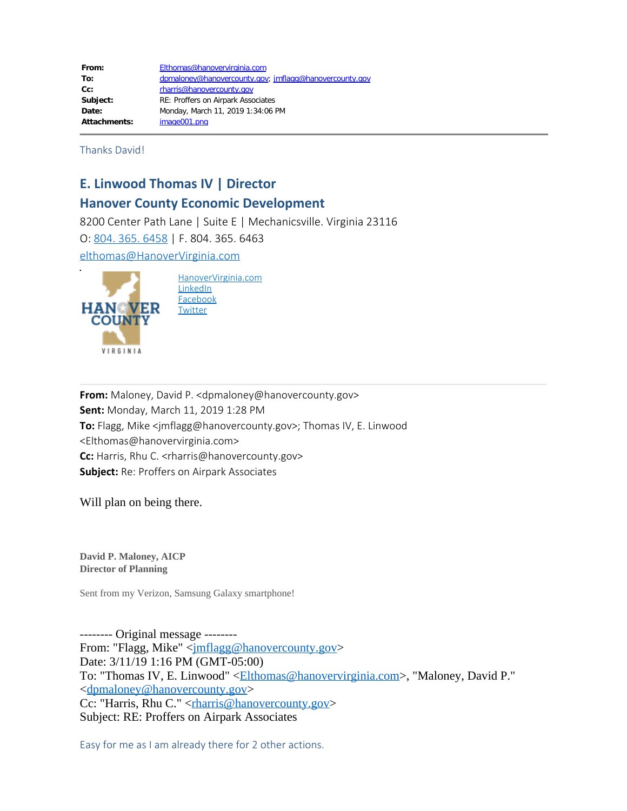| From:        | Elthomas@hanovervirginia.com                           |
|--------------|--------------------------------------------------------|
| To:          | dpmaloney@hanovercounty.gov; jmflagg@hanovercounty.gov |
| $Cc$ :       | rharris@hanovercounty.gov                              |
| Subject:     | RE: Proffers on Airpark Associates                     |
| Date:        | Monday, March 11, 2019 1:34:06 PM                      |
| Attachments: | image001.png                                           |

Thanks David!

## **E. Linwood Thomas IV | Director**

## **Hanover County Economic Development**

8200 Center Path Lane | Suite E | Mechanicsville. Virginia 23116 O: [804. 365. 6458](tel:1-804-365-6458) | F. 804. 365. 6463 [elthomas@HanoverVirginia.com](mailto:elthomas@HanoverVirginia.com)



[HanoverVirginia.com](http://www.hanovervirginia.com/) **[LinkedIn](http://www.linkedin.com/company/5356169) [Facebook](http://www.facebook.com/pages/Hanover-County-Economic-Development/80475251807) [Twitter](https://twitter.com/HanoverBiz)** 

**From:** Maloney, David P. <dpmaloney@hanovercounty.gov> **Sent:** Monday, March 11, 2019 1:28 PM **To:** Flagg, Mike <jmflagg@hanovercounty.gov>; Thomas IV, E. Linwood <Elthomas@hanovervirginia.com> **Cc:** Harris, Rhu C. <rharris@hanovercounty.gov> **Subject:** Re: Proffers on Airpark Associates

Will plan on being there.

**David P. Maloney, AICP Director of Planning**

Sent from my Verizon, Samsung Galaxy smartphone!

-------- Original message -------- From: "Flagg, Mike" <*imflagg@hanovercounty.gov>* Date: 3/11/19 1:16 PM (GMT-05:00) To: "Thomas IV, E. Linwood" <**Elthomas@hanovervirginia.com>**, "Maloney, David P." <[dpmaloney@hanovercounty.gov](mailto:dpmaloney@hanovercounty.gov)> Cc: "Harris, Rhu C." <
<u>rharris@hanovercounty.gov</u>> Subject: RE: Proffers on Airpark Associates

Easy for me as I am already there for 2 other actions.